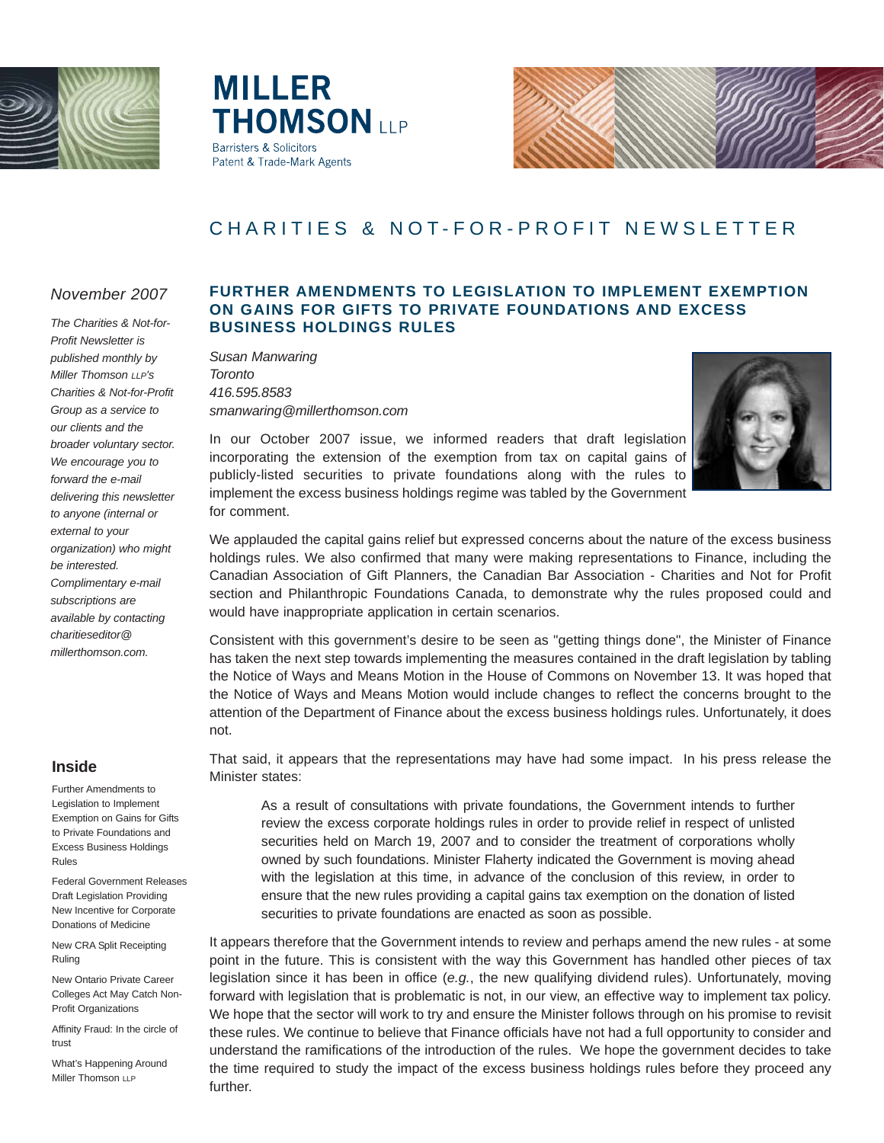

**MILLER THOMSON ILP Barristers & Solicitors** Patent & Trade-Mark Agents



# CHARITIES & NOT-FOR-PROFIT NEWSLETTER

### *November 2007*

*The Charities & Not-for-Profit Newsletter is published monthly by Miller Thomson LLP's Charities & Not-for-Profit Group as a service to our clients and the broader voluntary sector. We encourage you to forward the e-mail delivering this newsletter to anyone (internal or external to your organization) who might be interested. Complimentary e-mail subscriptions are available by contacting charitieseditor@ millerthomson.com.*

### **Inside**

Further Amendments to Legislation to Implement Exemption on Gains for Gifts to Private Foundations and Excess Business Holdings Rules

Federal Government Releases Draft Legislation Providing New Incentive for Corporate Donations of Medicine

New CRA Split Receipting Ruling

New Ontario Private Career Colleges Act May Catch Non-Profit Organizations

Affinity Fraud: In the circle of trust

What's Happening Around Miller Thomson LLP

### **FURTHER AMENDMENTS TO LEGISLATION TO IMPLEMENT EXEMPTION ON GAINS FOR GIFTS TO PRIVATE FOUNDATIONS AND EXCESS BUSINESS HOLDINGS RULES**

*Susan Manwaring Toronto 416.595.8583 smanwaring@millerthomson.com*



In our October 2007 issue, we informed readers that draft legislation incorporating the extension of the exemption from tax on capital gains of publicly-listed securities to private foundations along with the rules to implement the excess business holdings regime was tabled by the Government for comment.

We applauded the capital gains relief but expressed concerns about the nature of the excess business holdings rules. We also confirmed that many were making representations to Finance, including the Canadian Association of Gift Planners, the Canadian Bar Association - Charities and Not for Profit section and Philanthropic Foundations Canada, to demonstrate why the rules proposed could and would have inappropriate application in certain scenarios.

Consistent with this government's desire to be seen as "getting things done", the Minister of Finance has taken the next step towards implementing the measures contained in the draft legislation by tabling the Notice of Ways and Means Motion in the House of Commons on November 13. It was hoped that the Notice of Ways and Means Motion would include changes to reflect the concerns brought to the attention of the Department of Finance about the excess business holdings rules. Unfortunately, it does not.

That said, it appears that the representations may have had some impact. In his press release the Minister states:

As a result of consultations with private foundations, the Government intends to further review the excess corporate holdings rules in order to provide relief in respect of unlisted securities held on March 19, 2007 and to consider the treatment of corporations wholly owned by such foundations. Minister Flaherty indicated the Government is moving ahead with the legislation at this time, in advance of the conclusion of this review, in order to ensure that the new rules providing a capital gains tax exemption on the donation of listed securities to private foundations are enacted as soon as possible.

It appears therefore that the Government intends to review and perhaps amend the new rules - at some point in the future. This is consistent with the way this Government has handled other pieces of tax legislation since it has been in office (*e.g.*, the new qualifying dividend rules). Unfortunately, moving forward with legislation that is problematic is not, in our view, an effective way to implement tax policy. We hope that the sector will work to try and ensure the Minister follows through on his promise to revisit these rules. We continue to believe that Finance officials have not had a full opportunity to consider and understand the ramifications of the introduction of the rules. We hope the government decides to take the time required to study the impact of the excess business holdings rules before they proceed any further.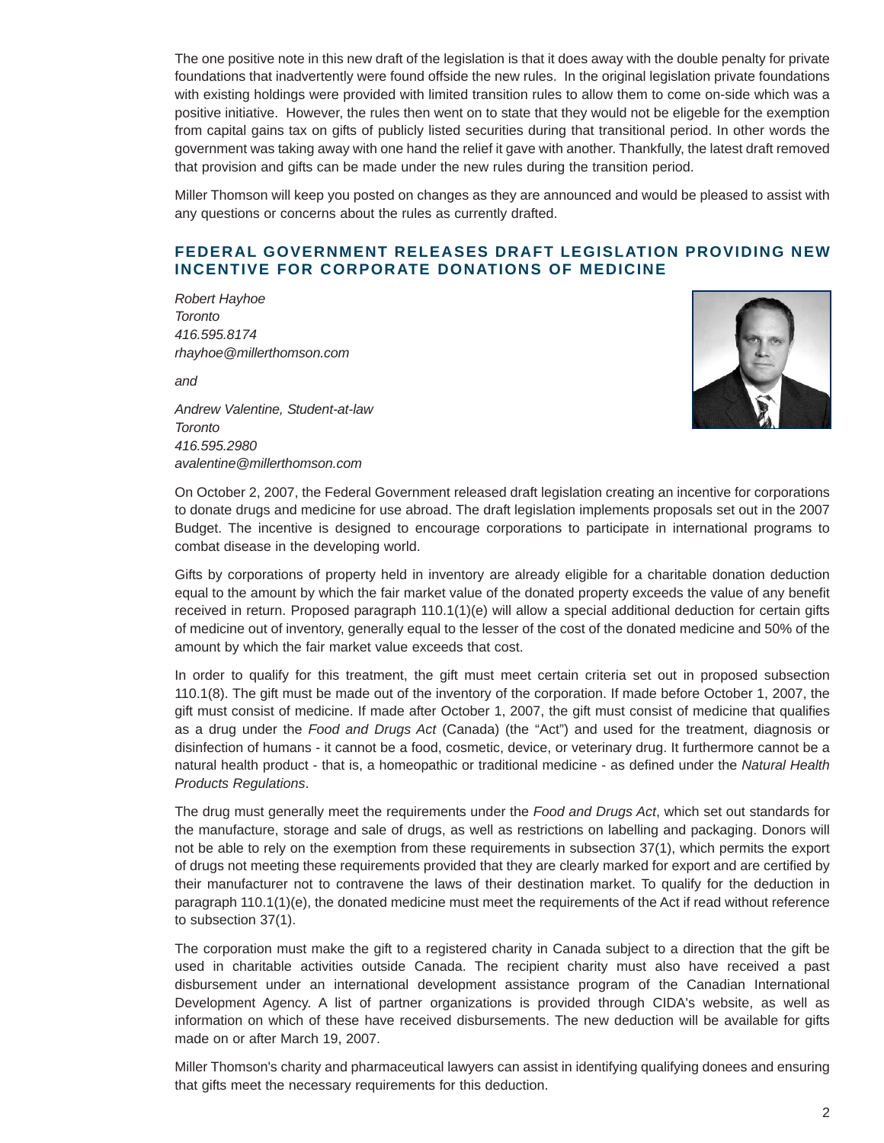The one positive note in this new draft of the legislation is that it does away with the double penalty for private foundations that inadvertently were found offside the new rules. In the original legislation private foundations with existing holdings were provided with limited transition rules to allow them to come on-side which was a positive initiative. However, the rules then went on to state that they would not be eligeble for the exemption from capital gains tax on gifts of publicly listed securities during that transitional period. In other words the government was taking away with one hand the relief it gave with another. Thankfully, the latest draft removed that provision and gifts can be made under the new rules during the transition period.

Miller Thomson will keep you posted on changes as they are announced and would be pleased to assist with any questions or concerns about the rules as currently drafted.

### **FEDERAL GOVERNMENT RELEASES DRAFT LEGISLATION PROVIDING NEW INCENTIVE FOR CORPORATE DONATIONS OF MEDICINE**

*Robert Hayhoe Toronto 416.595.8174 rhayhoe@millerthomson.com*

*and*

*Andrew Valentine, Student-at-law Toronto 416.595.2980 avalentine@millerthomson.com*



On October 2, 2007, the Federal Government released draft legislation creating an incentive for corporations to donate drugs and medicine for use abroad. The draft legislation implements proposals set out in the 2007 Budget. The incentive is designed to encourage corporations to participate in international programs to combat disease in the developing world.

Gifts by corporations of property held in inventory are already eligible for a charitable donation deduction equal to the amount by which the fair market value of the donated property exceeds the value of any benefit received in return. Proposed paragraph 110.1(1)(e) will allow a special additional deduction for certain gifts of medicine out of inventory, generally equal to the lesser of the cost of the donated medicine and 50% of the amount by which the fair market value exceeds that cost.

In order to qualify for this treatment, the gift must meet certain criteria set out in proposed subsection 110.1(8). The gift must be made out of the inventory of the corporation. If made before October 1, 2007, the gift must consist of medicine. If made after October 1, 2007, the gift must consist of medicine that qualifies as a drug under the *Food and Drugs Act* (Canada) (the "Act") and used for the treatment, diagnosis or disinfection of humans - it cannot be a food, cosmetic, device, or veterinary drug. It furthermore cannot be a natural health product - that is, a homeopathic or traditional medicine - as defined under the *Natural Health Products Regulations*.

The drug must generally meet the requirements under the *Food and Drugs Act*, which set out standards for the manufacture, storage and sale of drugs, as well as restrictions on labelling and packaging. Donors will not be able to rely on the exemption from these requirements in subsection 37(1), which permits the export of drugs not meeting these requirements provided that they are clearly marked for export and are certified by their manufacturer not to contravene the laws of their destination market. To qualify for the deduction in paragraph 110.1(1)(e), the donated medicine must meet the requirements of the Act if read without reference to subsection 37(1).

The corporation must make the gift to a registered charity in Canada subject to a direction that the gift be used in charitable activities outside Canada. The recipient charity must also have received a past disbursement under an international development assistance program of the Canadian International Development Agency. A list of partner organizations is provided through CIDA's website, as well as information on which of these have received disbursements. The new deduction will be available for gifts made on or after March 19, 2007.

Miller Thomson's charity and pharmaceutical lawyers can assist in identifying qualifying donees and ensuring that gifts meet the necessary requirements for this deduction.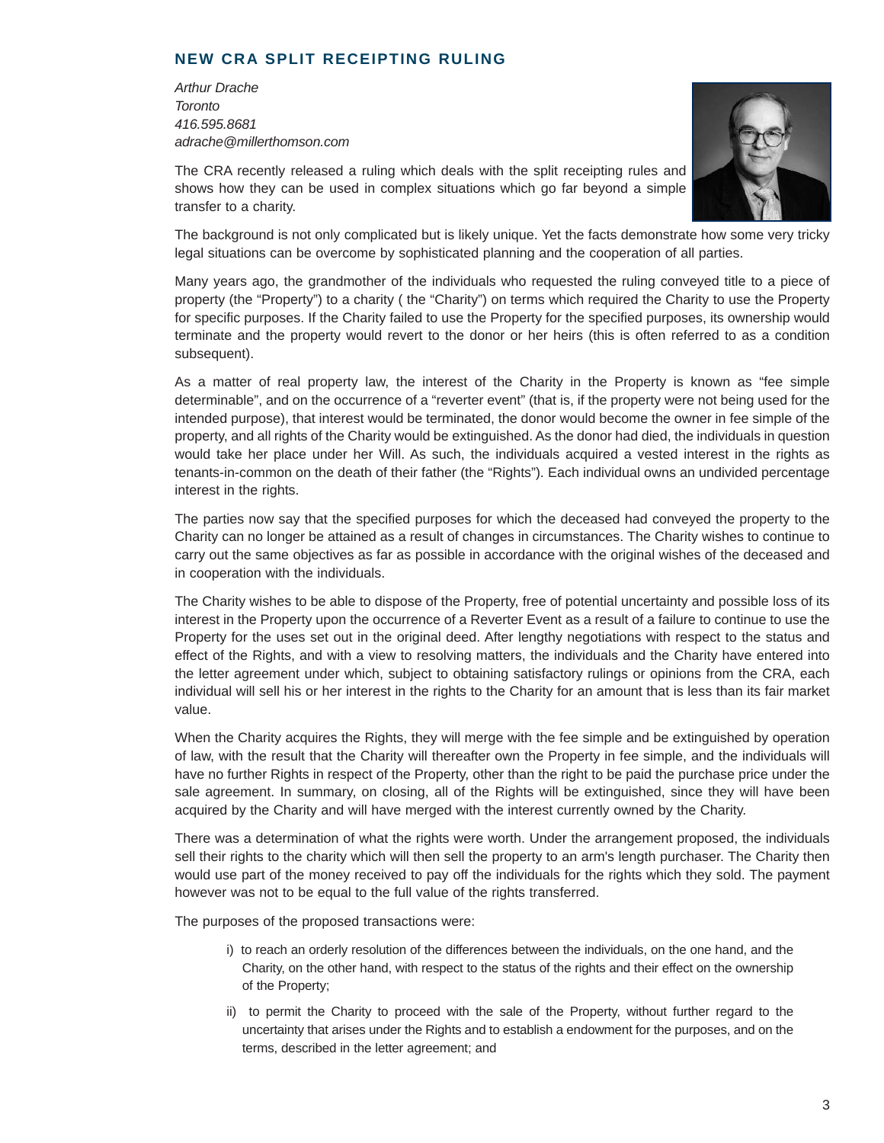### **NEW CRA SPLIT RECEIPTING RULING**

*Arthur Drache Toronto 416.595.8681 adrache@millerthomson.com*



The CRA recently released a ruling which deals with the split receipting rules and shows how they can be used in complex situations which go far beyond a simple transfer to a charity.

The background is not only complicated but is likely unique. Yet the facts demonstrate how some very tricky legal situations can be overcome by sophisticated planning and the cooperation of all parties.

Many years ago, the grandmother of the individuals who requested the ruling conveyed title to a piece of property (the "Property") to a charity ( the "Charity") on terms which required the Charity to use the Property for specific purposes. If the Charity failed to use the Property for the specified purposes, its ownership would terminate and the property would revert to the donor or her heirs (this is often referred to as a condition subsequent).

As a matter of real property law, the interest of the Charity in the Property is known as "fee simple determinable", and on the occurrence of a "reverter event" (that is, if the property were not being used for the intended purpose), that interest would be terminated, the donor would become the owner in fee simple of the property, and all rights of the Charity would be extinguished. As the donor had died, the individuals in question would take her place under her Will. As such, the individuals acquired a vested interest in the rights as tenants-in-common on the death of their father (the "Rights"). Each individual owns an undivided percentage interest in the rights.

The parties now say that the specified purposes for which the deceased had conveyed the property to the Charity can no longer be attained as a result of changes in circumstances. The Charity wishes to continue to carry out the same objectives as far as possible in accordance with the original wishes of the deceased and in cooperation with the individuals.

The Charity wishes to be able to dispose of the Property, free of potential uncertainty and possible loss of its interest in the Property upon the occurrence of a Reverter Event as a result of a failure to continue to use the Property for the uses set out in the original deed. After lengthy negotiations with respect to the status and effect of the Rights, and with a view to resolving matters, the individuals and the Charity have entered into the letter agreement under which, subject to obtaining satisfactory rulings or opinions from the CRA, each individual will sell his or her interest in the rights to the Charity for an amount that is less than its fair market value.

When the Charity acquires the Rights, they will merge with the fee simple and be extinguished by operation of law, with the result that the Charity will thereafter own the Property in fee simple, and the individuals will have no further Rights in respect of the Property, other than the right to be paid the purchase price under the sale agreement. In summary, on closing, all of the Rights will be extinguished, since they will have been acquired by the Charity and will have merged with the interest currently owned by the Charity.

There was a determination of what the rights were worth. Under the arrangement proposed, the individuals sell their rights to the charity which will then sell the property to an arm's length purchaser. The Charity then would use part of the money received to pay off the individuals for the rights which they sold. The payment however was not to be equal to the full value of the rights transferred.

The purposes of the proposed transactions were:

- i) to reach an orderly resolution of the differences between the individuals, on the one hand, and the Charity, on the other hand, with respect to the status of the rights and their effect on the ownership of the Property;
- ii) to permit the Charity to proceed with the sale of the Property, without further regard to the uncertainty that arises under the Rights and to establish a endowment for the purposes, and on the terms, described in the letter agreement; and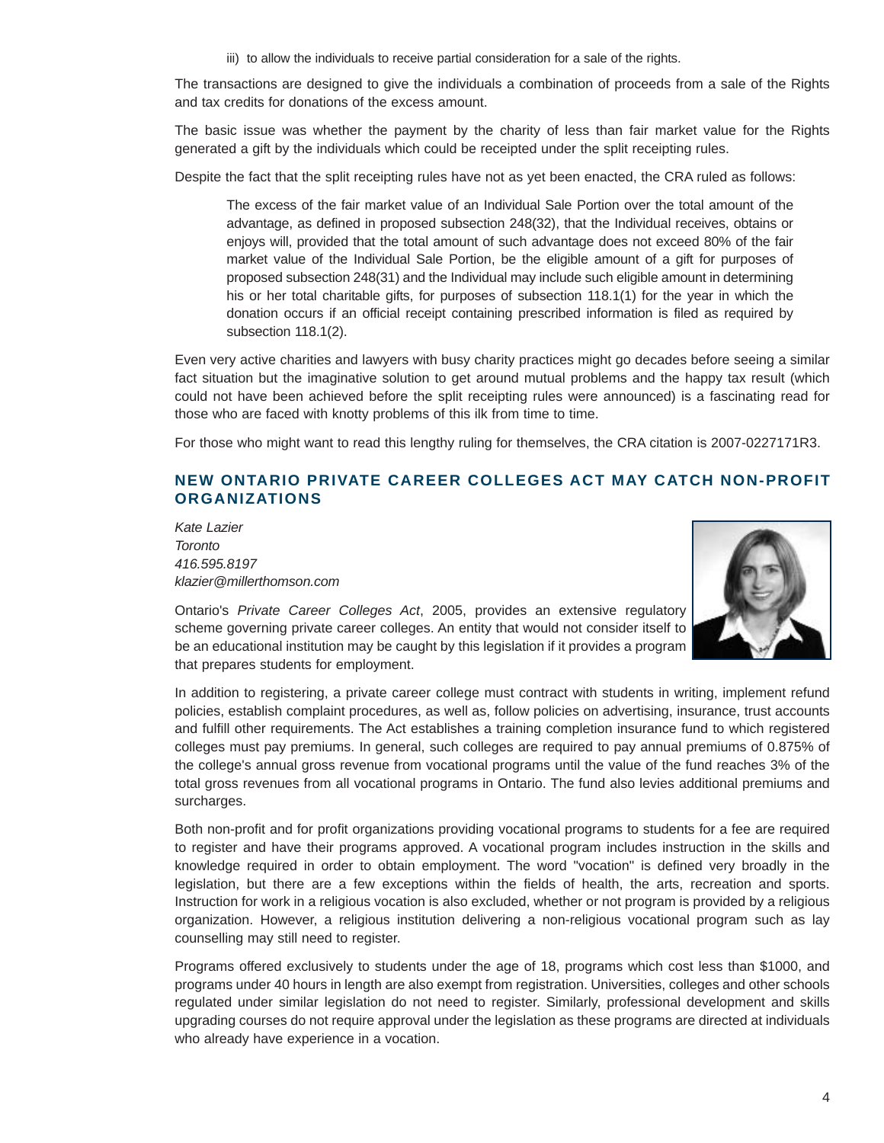iii) to allow the individuals to receive partial consideration for a sale of the rights.

The transactions are designed to give the individuals a combination of proceeds from a sale of the Rights and tax credits for donations of the excess amount.

The basic issue was whether the payment by the charity of less than fair market value for the Rights generated a gift by the individuals which could be receipted under the split receipting rules.

Despite the fact that the split receipting rules have not as yet been enacted, the CRA ruled as follows:

The excess of the fair market value of an Individual Sale Portion over the total amount of the advantage, as defined in proposed subsection 248(32), that the Individual receives, obtains or enjoys will, provided that the total amount of such advantage does not exceed 80% of the fair market value of the Individual Sale Portion, be the eligible amount of a gift for purposes of proposed subsection 248(31) and the Individual may include such eligible amount in determining his or her total charitable gifts, for purposes of subsection 118.1(1) for the year in which the donation occurs if an official receipt containing prescribed information is filed as required by subsection 118.1(2).

Even very active charities and lawyers with busy charity practices might go decades before seeing a similar fact situation but the imaginative solution to get around mutual problems and the happy tax result (which could not have been achieved before the split receipting rules were announced) is a fascinating read for those who are faced with knotty problems of this ilk from time to time.

For those who might want to read this lengthy ruling for themselves, the CRA citation is 2007-0227171R3.

### **NEW ONTARIO PRIVATE CAREER COLLEGES ACT MAY CATCH NON-PROFIT ORGANIZATIONS**

*Kate Lazier Toronto 416.595.8197 klazier@millerthomson.com*



Ontario's *Private Career Colleges Act*, 2005, provides an extensive regulatory scheme governing private career colleges. An entity that would not consider itself to be an educational institution may be caught by this legislation if it provides a program that prepares students for employment.

In addition to registering, a private career college must contract with students in writing, implement refund policies, establish complaint procedures, as well as, follow policies on advertising, insurance, trust accounts and fulfill other requirements. The Act establishes a training completion insurance fund to which registered colleges must pay premiums. In general, such colleges are required to pay annual premiums of 0.875% of the college's annual gross revenue from vocational programs until the value of the fund reaches 3% of the total gross revenues from all vocational programs in Ontario. The fund also levies additional premiums and surcharges.

Both non-profit and for profit organizations providing vocational programs to students for a fee are required to register and have their programs approved. A vocational program includes instruction in the skills and knowledge required in order to obtain employment. The word "vocation" is defined very broadly in the legislation, but there are a few exceptions within the fields of health, the arts, recreation and sports. Instruction for work in a religious vocation is also excluded, whether or not program is provided by a religious organization. However, a religious institution delivering a non-religious vocational program such as lay counselling may still need to register.

Programs offered exclusively to students under the age of 18, programs which cost less than \$1000, and programs under 40 hours in length are also exempt from registration. Universities, colleges and other schools regulated under similar legislation do not need to register. Similarly, professional development and skills upgrading courses do not require approval under the legislation as these programs are directed at individuals who already have experience in a vocation.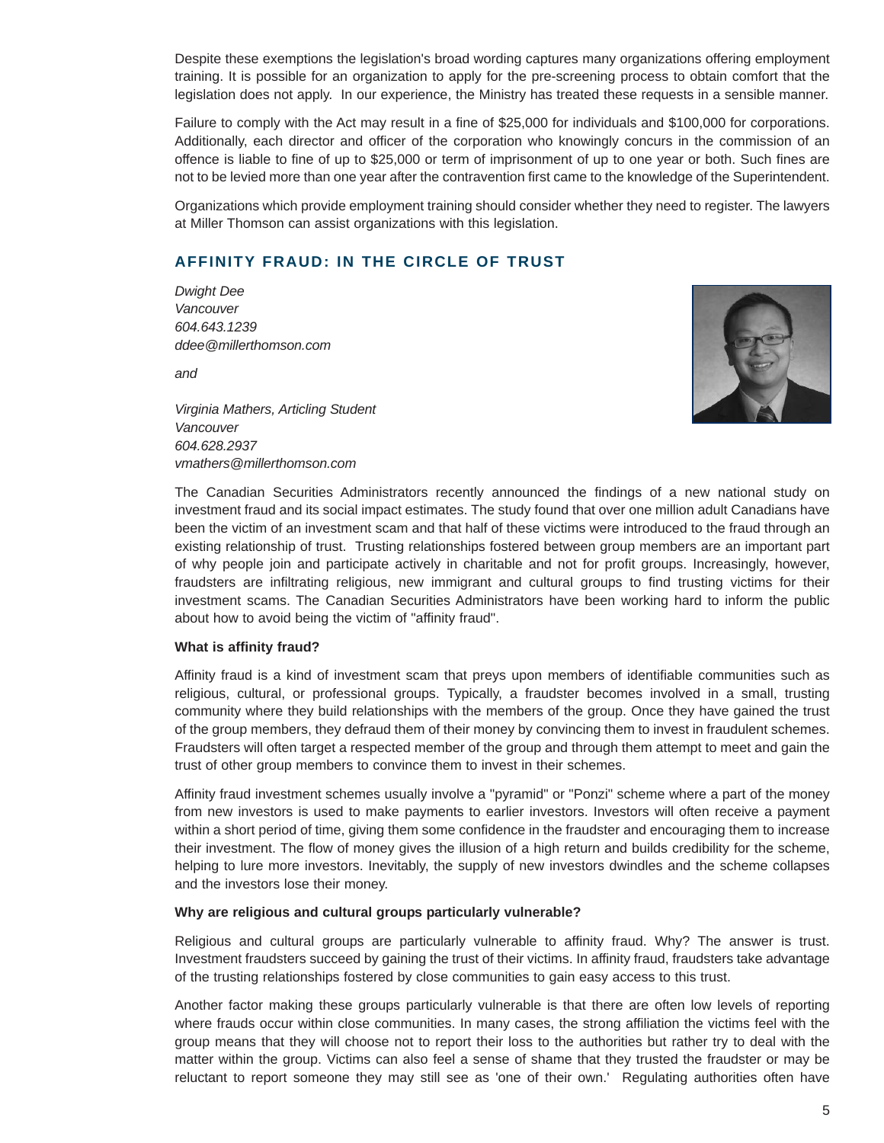Despite these exemptions the legislation's broad wording captures many organizations offering employment training. It is possible for an organization to apply for the pre-screening process to obtain comfort that the legislation does not apply. In our experience, the Ministry has treated these requests in a sensible manner.

Failure to comply with the Act may result in a fine of \$25,000 for individuals and \$100,000 for corporations. Additionally, each director and officer of the corporation who knowingly concurs in the commission of an offence is liable to fine of up to \$25,000 or term of imprisonment of up to one year or both. Such fines are not to be levied more than one year after the contravention first came to the knowledge of the Superintendent.

Organizations which provide employment training should consider whether they need to register. The lawyers at Miller Thomson can assist organizations with this legislation.

### **AFFINITY FRAUD: IN THE CIRCLE OF TRUST**

*Dwight Dee Vancouver 604.643.1239 ddee@millerthomson.com*

*and* 



*Virginia Mathers, Articling Student Vancouver 604.628.2937 vmathers@millerthomson.com*

The Canadian Securities Administrators recently announced the findings of a new national study on investment fraud and its social impact estimates. The study found that over one million adult Canadians have been the victim of an investment scam and that half of these victims were introduced to the fraud through an existing relationship of trust. Trusting relationships fostered between group members are an important part of why people join and participate actively in charitable and not for profit groups. Increasingly, however, fraudsters are infiltrating religious, new immigrant and cultural groups to find trusting victims for their investment scams. The Canadian Securities Administrators have been working hard to inform the public about how to avoid being the victim of "affinity fraud".

#### **What is affinity fraud?**

Affinity fraud is a kind of investment scam that preys upon members of identifiable communities such as religious, cultural, or professional groups. Typically, a fraudster becomes involved in a small, trusting community where they build relationships with the members of the group. Once they have gained the trust of the group members, they defraud them of their money by convincing them to invest in fraudulent schemes. Fraudsters will often target a respected member of the group and through them attempt to meet and gain the trust of other group members to convince them to invest in their schemes.

Affinity fraud investment schemes usually involve a "pyramid" or "Ponzi" scheme where a part of the money from new investors is used to make payments to earlier investors. Investors will often receive a payment within a short period of time, giving them some confidence in the fraudster and encouraging them to increase their investment. The flow of money gives the illusion of a high return and builds credibility for the scheme, helping to lure more investors. Inevitably, the supply of new investors dwindles and the scheme collapses and the investors lose their money.

#### **Why are religious and cultural groups particularly vulnerable?**

Religious and cultural groups are particularly vulnerable to affinity fraud. Why? The answer is trust. Investment fraudsters succeed by gaining the trust of their victims. In affinity fraud, fraudsters take advantage of the trusting relationships fostered by close communities to gain easy access to this trust.

Another factor making these groups particularly vulnerable is that there are often low levels of reporting where frauds occur within close communities. In many cases, the strong affiliation the victims feel with the group means that they will choose not to report their loss to the authorities but rather try to deal with the matter within the group. Victims can also feel a sense of shame that they trusted the fraudster or may be reluctant to report someone they may still see as 'one of their own.' Regulating authorities often have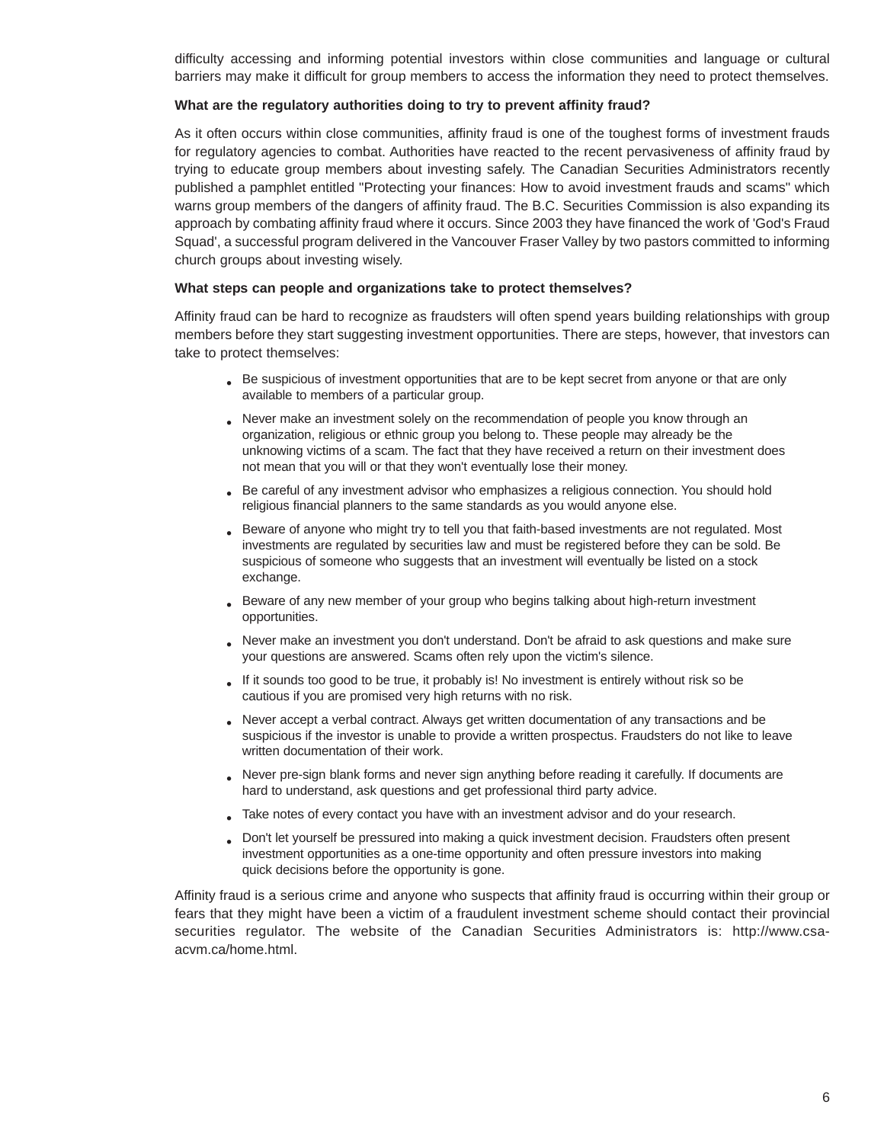difficulty accessing and informing potential investors within close communities and language or cultural barriers may make it difficult for group members to access the information they need to protect themselves.

#### **What are the regulatory authorities doing to try to prevent affinity fraud?**

As it often occurs within close communities, affinity fraud is one of the toughest forms of investment frauds for regulatory agencies to combat. Authorities have reacted to the recent pervasiveness of affinity fraud by trying to educate group members about investing safely. The Canadian Securities Administrators recently published a pamphlet entitled "Protecting your finances: How to avoid investment frauds and scams" which warns group members of the dangers of affinity fraud. The B.C. Securities Commission is also expanding its approach by combating affinity fraud where it occurs. Since 2003 they have financed the work of 'God's Fraud Squad', a successful program delivered in the Vancouver Fraser Valley by two pastors committed to informing church groups about investing wisely.

#### **What steps can people and organizations take to protect themselves?**

Affinity fraud can be hard to recognize as fraudsters will often spend years building relationships with group members before they start suggesting investment opportunities. There are steps, however, that investors can take to protect themselves:

- Be suspicious of investment opportunities that are to be kept secret from anyone or that are only available to members of a particular group.
- Never make an investment solely on the recommendation of people you know through an organization, religious or ethnic group you belong to. These people may already be the unknowing victims of a scam. The fact that they have received a return on their investment does not mean that you will or that they won't eventually lose their money.
- **•** Be careful of any investment advisor who emphasizes a religious connection. You should hold religious financial planners to the same standards as you would anyone else.
- **•** Beware of anyone who might try to tell you that faith-based investments are not regulated. Most investments are regulated by securities law and must be registered before they can be sold. Be suspicious of someone who suggests that an investment will eventually be listed on a stock exchange.
- **•** Beware of any new member of your group who begins talking about high-return investment opportunities.
- Never make an investment you don't understand. Don't be afraid to ask questions and make sure your questions are answered. Scams often rely upon the victim's silence.
- **•** If it sounds too good to be true, it probably is! No investment is entirely without risk so be cautious if you are promised very high returns with no risk.
- **•** Never accept a verbal contract. Always get written documentation of any transactions and be suspicious if the investor is unable to provide a written prospectus. Fraudsters do not like to leave written documentation of their work.
- Never pre-sign blank forms and never sign anything before reading it carefully. If documents are hard to understand, ask questions and get professional third party advice.
- Take notes of every contact you have with an investment advisor and do your research.
- Don't let yourself be pressured into making a quick investment decision. Fraudsters often present investment opportunities as a one-time opportunity and often pressure investors into making quick decisions before the opportunity is gone.

Affinity fraud is a serious crime and anyone who suspects that affinity fraud is occurring within their group or fears that they might have been a victim of a fraudulent investment scheme should contact their provincial securities regulator. The website of the Canadian Securities Administrators is: http://www.csaacvm.ca/home.html.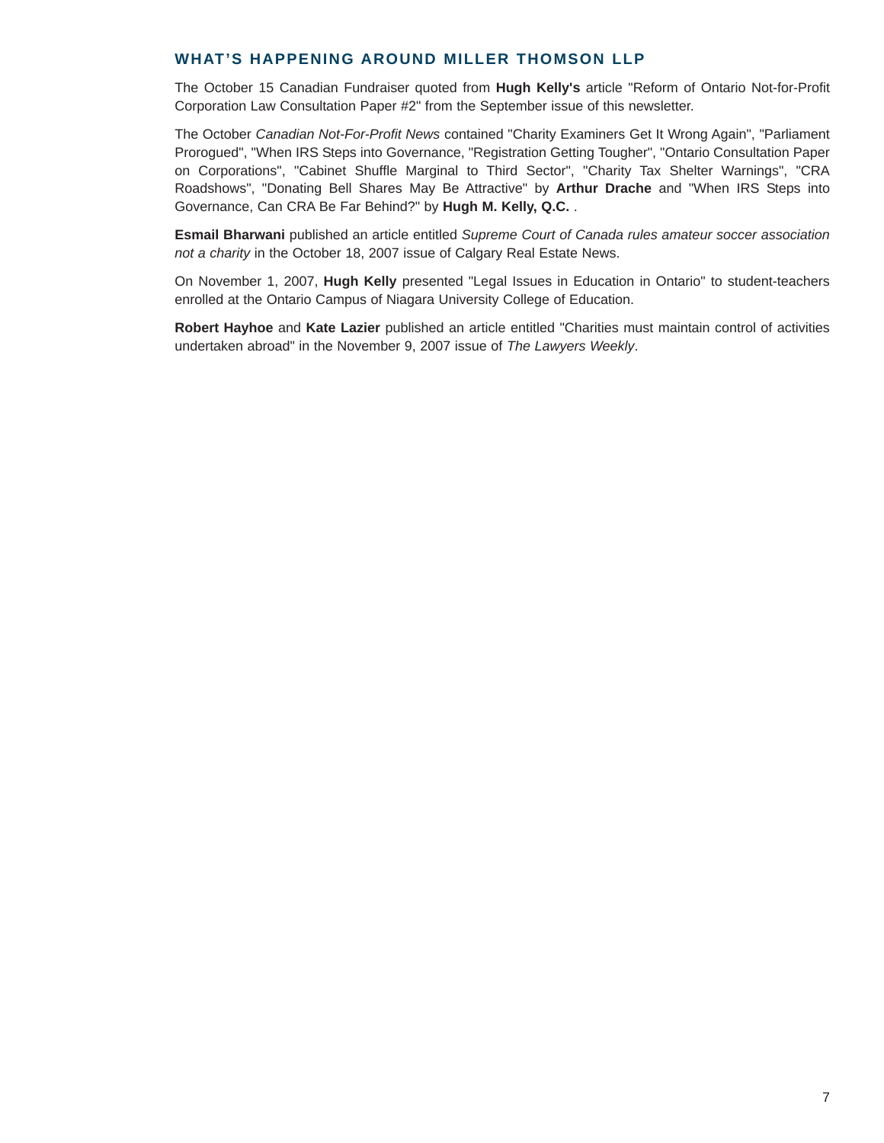### **WHAT'S HAPPENING AROUND MILLER THOMSON LLP**

The October 15 Canadian Fundraiser quoted from **Hugh Kelly's** article "Reform of Ontario Not-for-Profit Corporation Law Consultation Paper #2" from the September issue of this newsletter.

The October *Canadian Not-For-Profit News* contained "Charity Examiners Get It Wrong Again", "Parliament Prorogued", "When IRS Steps into Governance, "Registration Getting Tougher", "Ontario Consultation Paper on Corporations", "Cabinet Shuffle Marginal to Third Sector", "Charity Tax Shelter Warnings", "CRA Roadshows", "Donating Bell Shares May Be Attractive" by **Arthur Drache** and "When IRS Steps into Governance, Can CRA Be Far Behind?" by **Hugh M. Kelly, Q.C.** .

**Esmail Bharwani** published an article entitled *Supreme Court of Canada rules amateur soccer association not a charity* in the October 18, 2007 issue of Calgary Real Estate News.

On November 1, 2007, **Hugh Kelly** presented "Legal Issues in Education in Ontario" to student-teachers enrolled at the Ontario Campus of Niagara University College of Education.

**Robert Hayhoe** and **Kate Lazier** published an article entitled "Charities must maintain control of activities undertaken abroad" in the November 9, 2007 issue of *The Lawyers Weekly*.